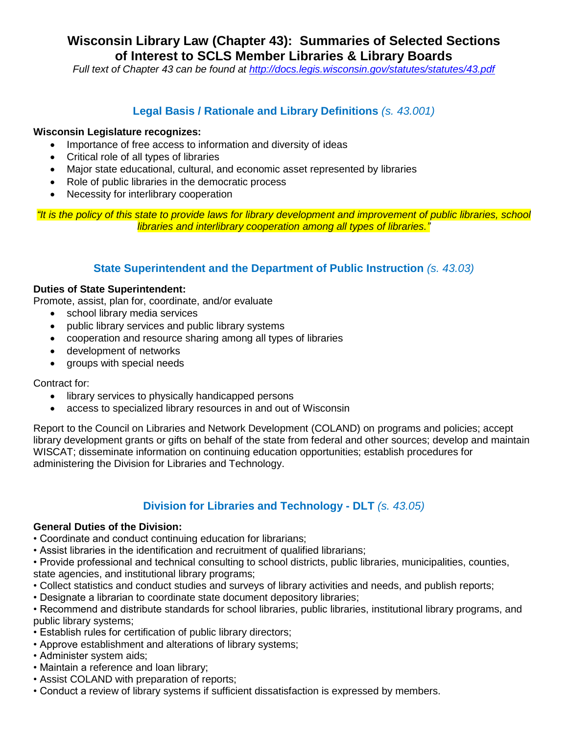# **Wisconsin Library Law (Chapter 43): Summaries of Selected Sections of Interest to SCLS Member Libraries & Library Boards**

*Full text of Chapter 43 can be found at<http://docs.legis.wisconsin.gov/statutes/statutes/43.pdf>*

# **Legal Basis / Rationale and Library Definitions** *(s. 43.001)*

### **Wisconsin Legislature recognizes:**

- Importance of free access to information and diversity of ideas
- Critical role of all types of libraries
- Major state educational, cultural, and economic asset represented by libraries
- Role of public libraries in the democratic process
- Necessity for interlibrary cooperation

*"It is the policy of this state to provide laws for library development and improvement of public libraries, school libraries and interlibrary cooperation among all types of libraries."*

# **State Superintendent and the Department of Public Instruction** *(s. 43.03)*

#### **Duties of State Superintendent:**

Promote, assist, plan for, coordinate, and/or evaluate

- school library media services
- public library services and public library systems
- cooperation and resource sharing among all types of libraries
- development of networks
- groups with special needs

Contract for:

- library services to physically handicapped persons
- access to specialized library resources in and out of Wisconsin

Report to the Council on Libraries and Network Development (COLAND) on programs and policies; accept library development grants or gifts on behalf of the state from federal and other sources; develop and maintain WISCAT; disseminate information on continuing education opportunities; establish procedures for administering the Division for Libraries and Technology.

# **Division for Libraries and Technology - DLT** *(s. 43.05)*

### **General Duties of the Division:**

- Coordinate and conduct continuing education for librarians;
- Assist libraries in the identification and recruitment of qualified librarians;

• Provide professional and technical consulting to school districts, public libraries, municipalities, counties, state agencies, and institutional library programs;

- Collect statistics and conduct studies and surveys of library activities and needs, and publish reports;
- Designate a librarian to coordinate state document depository libraries;

• Recommend and distribute standards for school libraries, public libraries, institutional library programs, and public library systems;

- Establish rules for certification of public library directors;
- Approve establishment and alterations of library systems;
- Administer system aids;
- Maintain a reference and loan library;
- Assist COLAND with preparation of reports;
- Conduct a review of library systems if sufficient dissatisfaction is expressed by members.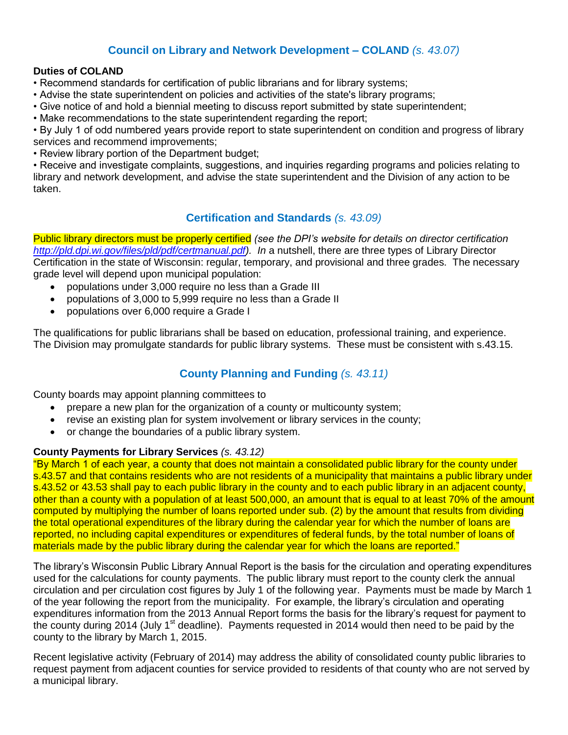# **Council on Library and Network Development – COLAND** *(s. 43.07)*

# **Duties of COLAND**

- Recommend standards for certification of public librarians and for library systems;
- Advise the state superintendent on policies and activities of the state's library programs;
- Give notice of and hold a biennial meeting to discuss report submitted by state superintendent;
- Make recommendations to the state superintendent regarding the report;

• By July 1 of odd numbered years provide report to state superintendent on condition and progress of library services and recommend improvements;

• Review library portion of the Department budget;

• Receive and investigate complaints, suggestions, and inquiries regarding programs and policies relating to library and network development, and advise the state superintendent and the Division of any action to be taken.

# **Certification and Standards** *(s. 43.09)*

Public library directors must be properly certified *(see the DPI's website for details on director certification [http://pld.dpi.wi.gov/files/pld/pdf/certmanual.pdf\)](http://pld.dpi.wi.gov/files/pld/pdf/certmanual.pdf). In* a nutshell, there are three types of Library Director Certification in the state of Wisconsin: regular, temporary, and provisional and three grades. The necessary grade level will depend upon municipal population:

- populations under 3,000 require no less than a Grade III
- populations of 3,000 to 5,999 require no less than a Grade II
- populations over 6,000 require a Grade I

The qualifications for public librarians shall be based on education, professional training, and experience. The Division may promulgate standards for public library systems. These must be consistent with s.43.15.

# **County Planning and Funding** *(s. 43.11)*

County boards may appoint planning committees to

- prepare a new plan for the organization of a county or multicounty system;
- revise an existing plan for system involvement or library services in the county;
- or change the boundaries of a public library system.

### **County Payments for Library Services** *(s. 43.12)*

"By March 1 of each year, a county that does not maintain a consolidated public library for the county under s.43.57 and that contains residents who are not residents of a municipality that maintains a public library under s.43.52 or 43.53 shall pay to each public library in the county and to each public library in an adjacent county, other than a county with a population of at least 500,000, an amount that is equal to at least 70% of the amount computed by multiplying the number of loans reported under sub. (2) by the amount that results from dividing the total operational expenditures of the library during the calendar year for which the number of loans are reported, no including capital expenditures or expenditures of federal funds, by the total number of loans of materials made by the public library during the calendar year for which the loans are reported."

The library's Wisconsin Public Library Annual Report is the basis for the circulation and operating expenditures used for the calculations for county payments. The public library must report to the county clerk the annual circulation and per circulation cost figures by July 1 of the following year. Payments must be made by March 1 of the year following the report from the municipality. For example, the library's circulation and operating expenditures information from the 2013 Annual Report forms the basis for the library's request for payment to the county during 2014 (July 1<sup>st</sup> deadline). Payments requested in 2014 would then need to be paid by the county to the library by March 1, 2015.

Recent legislative activity (February of 2014) may address the ability of consolidated county public libraries to request payment from adjacent counties for service provided to residents of that county who are not served by a municipal library.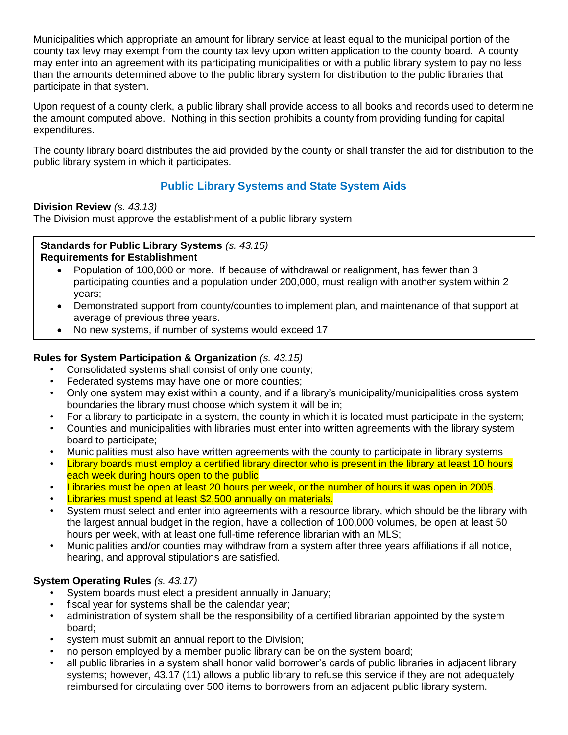Municipalities which appropriate an amount for library service at least equal to the municipal portion of the county tax levy may exempt from the county tax levy upon written application to the county board. A county may enter into an agreement with its participating municipalities or with a public library system to pay no less than the amounts determined above to the public library system for distribution to the public libraries that participate in that system.

Upon request of a county clerk, a public library shall provide access to all books and records used to determine the amount computed above. Nothing in this section prohibits a county from providing funding for capital expenditures.

The county library board distributes the aid provided by the county or shall transfer the aid for distribution to the public library system in which it participates.

# **Public Library Systems and State System Aids**

### **Division Review** *(s. 43.13)*

The Division must approve the establishment of a public library system

### **Standards for Public Library Systems** *(s. 43.15)* **Requirements for Establishment**

- Population of 100,000 or more. If because of withdrawal or realignment, has fewer than 3 participating counties and a population under 200,000, must realign with another system within 2 years;
- Demonstrated support from county/counties to implement plan, and maintenance of that support at average of previous three years.
- No new systems, if number of systems would exceed 17

# **Rules for System Participation & Organization** *(s. 43.15)*

- Consolidated systems shall consist of only one county;
- Federated systems may have one or more counties;
- Only one system may exist within a county, and if a library's municipality/municipalities cross system boundaries the library must choose which system it will be in;
- For a library to participate in a system, the county in which it is located must participate in the system;
- Counties and municipalities with libraries must enter into written agreements with the library system board to participate;
- Municipalities must also have written agreements with the county to participate in library systems
- Library boards must employ a certified library director who is present in the library at least 10 hours each week during hours open to the public.
- Libraries must be open at least 20 hours per week, or the number of hours it was open in 2005.
- Libraries must spend at least \$2,500 annually on materials.
- System must select and enter into agreements with a resource library, which should be the library with the largest annual budget in the region, have a collection of 100,000 volumes, be open at least 50 hours per week, with at least one full-time reference librarian with an MLS;
- Municipalities and/or counties may withdraw from a system after three years affiliations if all notice, hearing, and approval stipulations are satisfied.

# **System Operating Rules** *(s. 43.17)*

- System boards must elect a president annually in January;
- fiscal year for systems shall be the calendar year;
- administration of system shall be the responsibility of a certified librarian appointed by the system board;
- system must submit an annual report to the Division;
- no person employed by a member public library can be on the system board;
- all public libraries in a system shall honor valid borrower's cards of public libraries in adjacent library systems; however, 43.17 (11) allows a public library to refuse this service if they are not adequately reimbursed for circulating over 500 items to borrowers from an adjacent public library system.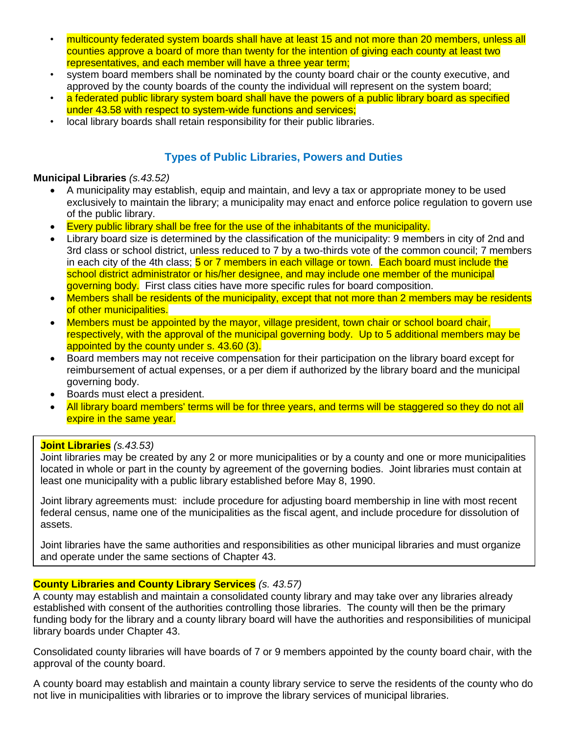- multicounty federated system boards shall have at least 15 and not more than 20 members, unless all counties approve a board of more than twenty for the intention of giving each county at least two representatives, and each member will have a three year term;
- system board members shall be nominated by the county board chair or the county executive, and approved by the county boards of the county the individual will represent on the system board;
- a federated public library system board shall have the powers of a public library board as specified under 43.58 with respect to system-wide functions and services;
- local library boards shall retain responsibility for their public libraries.

# **Types of Public Libraries, Powers and Duties**

#### **Municipal Libraries** *(s.43.52)*

- A municipality may establish, equip and maintain, and levy a tax or appropriate money to be used exclusively to maintain the library; a municipality may enact and enforce police regulation to govern use of the public library.
- Every public library shall be free for the use of the inhabitants of the municipality.
- Library board size is determined by the classification of the municipality: 9 members in city of 2nd and 3rd class or school district, unless reduced to 7 by a two-thirds vote of the common council; 7 members in each city of the 4th class; **5 or 7 members in each village or town.** Each board must include the school district administrator or his/her designee, and may include one member of the municipal governing body. First class cities have more specific rules for board composition.
- Members shall be residents of the municipality, except that not more than 2 members may be residents of other municipalities.
- Members must be appointed by the mayor, village president, town chair or school board chair, respectively, with the approval of the municipal governing body. Up to 5 additional members may be appointed by the county under s. 43.60 (3).
- Board members may not receive compensation for their participation on the library board except for reimbursement of actual expenses, or a per diem if authorized by the library board and the municipal governing body.
- Boards must elect a president.
- All library board members' terms will be for three years, and terms will be staggered so they do not all expire in the same year.

#### **Joint Libraries** *(s.43.53)*

Joint libraries may be created by any 2 or more municipalities or by a county and one or more municipalities located in whole or part in the county by agreement of the governing bodies. Joint libraries must contain at least one municipality with a public library established before May 8, 1990.

Joint library agreements must: include procedure for adjusting board membership in line with most recent federal census, name one of the municipalities as the fiscal agent, and include procedure for dissolution of assets.

Joint libraries have the same authorities and responsibilities as other municipal libraries and must organize and operate under the same sections of Chapter 43.

### **County Libraries and County Library Services** *(s. 43.57)*

A county may establish and maintain a consolidated county library and may take over any libraries already established with consent of the authorities controlling those libraries. The county will then be the primary funding body for the library and a county library board will have the authorities and responsibilities of municipal library boards under Chapter 43.

Consolidated county libraries will have boards of 7 or 9 members appointed by the county board chair, with the approval of the county board.

A county board may establish and maintain a county library service to serve the residents of the county who do not live in municipalities with libraries or to improve the library services of municipal libraries.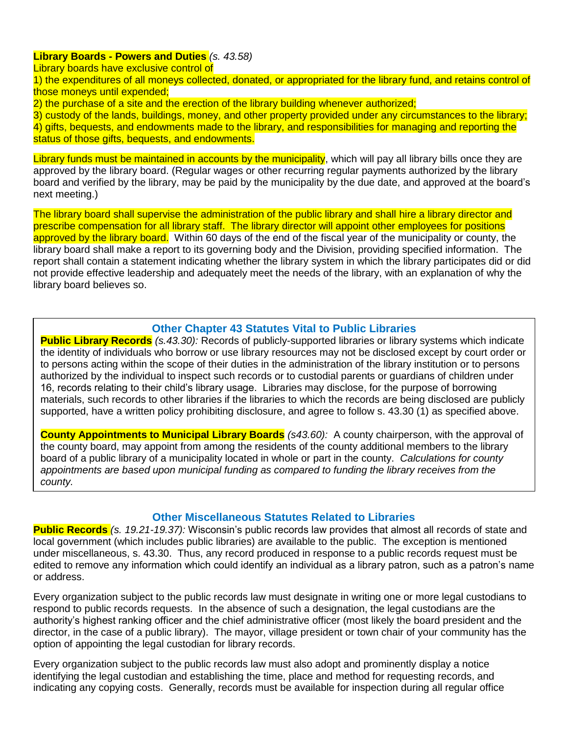### **Library Boards - Powers and Duties** *(s. 43.58)*

Library boards have exclusive control of

1) the expenditures of all moneys collected, donated, or appropriated for the library fund, and retains control of those moneys until expended;

2) the purchase of a site and the erection of the library building whenever authorized;

3) custody of the lands, buildings, money, and other property provided under any circumstances to the library; 4) gifts, bequests, and endowments made to the library, and responsibilities for managing and reporting the status of those gifts, bequests, and endowments.

Library funds must be maintained in accounts by the municipality, which will pay all library bills once they are approved by the library board. (Regular wages or other recurring regular payments authorized by the library board and verified by the library, may be paid by the municipality by the due date, and approved at the board's next meeting.)

The library board shall supervise the administration of the public library and shall hire a library director and prescribe compensation for all library staff. The library director will appoint other employees for positions approved by the library board. Within 60 days of the end of the fiscal year of the municipality or county, the library board shall make a report to its governing body and the Division, providing specified information. The report shall contain a statement indicating whether the library system in which the library participates did or did not provide effective leadership and adequately meet the needs of the library, with an explanation of why the library board believes so.

# **Other Chapter 43 Statutes Vital to Public Libraries**

**Public Library Records** *(s.43.30):* Records of publicly-supported libraries or library systems which indicate the identity of individuals who borrow or use library resources may not be disclosed except by court order or to persons acting within the scope of their duties in the administration of the library institution or to persons authorized by the individual to inspect such records or to custodial parents or guardians of children under 16, records relating to their child's library usage. Libraries may disclose, for the purpose of borrowing materials, such records to other libraries if the libraries to which the records are being disclosed are publicly supported, have a written policy prohibiting disclosure, and agree to follow s. 43.30 (1) as specified above.

**County Appointments to Municipal Library Boards** *(s43.60):*A county chairperson, with the approval of the county board, may appoint from among the residents of the county additional members to the library board of a public library of a municipality located in whole or part in the county. *Calculations for county appointments are based upon municipal funding as compared to funding the library receives from the county.*

### **Other Miscellaneous Statutes Related to Libraries**

**Public Records** *(s. 19.21-19.37):* Wisconsin's public records law provides that almost all records of state and local government (which includes public libraries) are available to the public. The exception is mentioned under miscellaneous, s. 43.30. Thus, any record produced in response to a public records request must be edited to remove any information which could identify an individual as a library patron, such as a patron's name or address.

Every organization subject to the public records law must designate in writing one or more legal custodians to respond to public records requests. In the absence of such a designation, the legal custodians are the authority's highest ranking officer and the chief administrative officer (most likely the board president and the director, in the case of a public library). The mayor, village president or town chair of your community has the option of appointing the legal custodian for library records.

Every organization subject to the public records law must also adopt and prominently display a notice identifying the legal custodian and establishing the time, place and method for requesting records, and indicating any copying costs. Generally, records must be available for inspection during all regular office